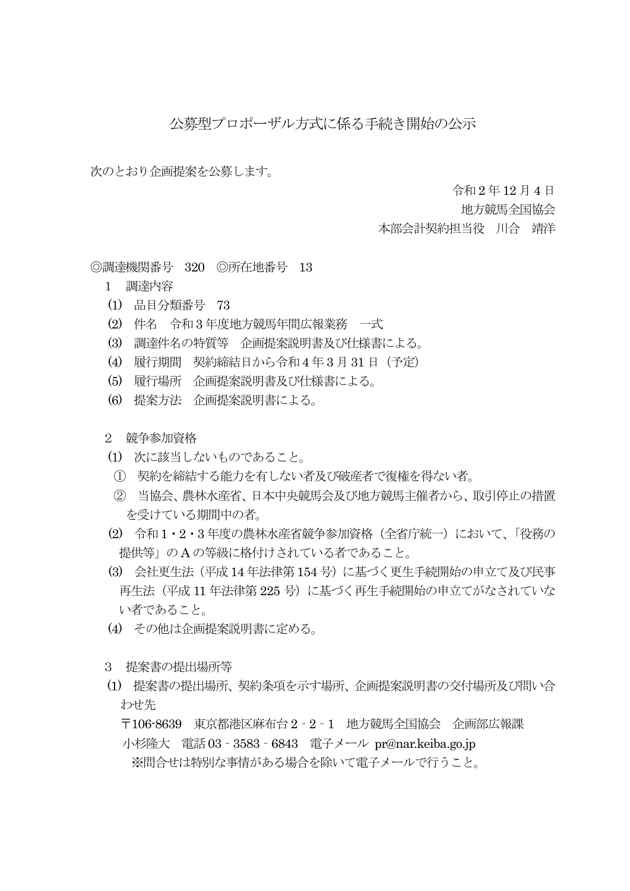## 公募型プロポーザル方式に係る手続き開始の公示

次のとおり企画提案を公募します。

令和 2 年12 月4 日

地方競馬全国協会

本部会計契約担当役 川合 靖洋

◎調達機関番号 320 ◎所在地番号 13

- 1 調達内容
- (1) 品目分類番号 73
- (2) 件名 令和3 年度地方競馬年間広報業務 一式
- (3) 調達件名の特質等 企画提案説明書及び仕様書による。
- (4) 履行期間 契約締結日から令和4 年 3 月31 日(予定)
- (5) 履行場所 企画提案説明書及び仕様書による。
- (6) 提案方法 企画提案説明書による。
- 2 競争参加資格
- (1) 次に該当しないものであること。
- ① 契約を締結する能力を有しない者及び破産者で復権を得ない者。
- ② 当協会、農林水産省、日本中央競馬会及び地方競馬主催者から、取引停止の措置 を受けている期間中の者。
- (2) 令和1・2・3 年度の農林水産省競争参加資格(全省庁統一)において、「役務の 提供等」の A の等級に格付けされている者であること。
- (3) 会社更生法(平成14 年法律第154 号)に基づく更生手続開始の申立て及び民事 再生法(平成 11 年法律第 225 号)に基づく再生手続開始の申立てがなされていな い者であること。
- (4) その他は企画提案説明書に定める。
- 3 提案書の提出場所等
- (1) 提案書の提出場所、契約条項を示す場所、企画提案説明書の交付場所及び問い合 わせ先

〒106-8639 東京都港区麻布台 2‐2‐1 地方競馬全国協会 企画部広報課

小杉隆大 電話03‐3583‐6843 電子メール pr@nar.keiba.go.jp ※問合せは特別な事情がある場合を除いて電子メールで行うこと。